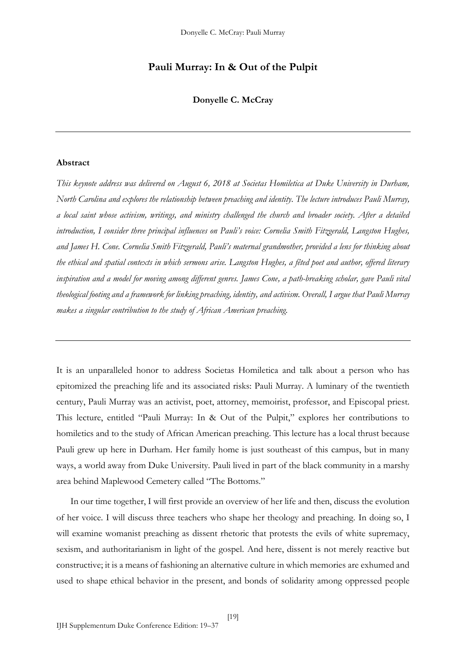# **Pauli Murray: In & Out of the Pulpit**

**Donyelle C. McCray**

## **Abstract**

*This keynote address was delivered on August 6, 2018 at Societas Homiletica at Duke University in Durham, North Carolina and explores the relationship between preaching and identity. The lecture introduces Pauli Murray, a local saint whose activism, writings, and ministry challenged the church and broader society. After a detailed introduction, I consider three principal influences on Pauli's voice: Cornelia Smith Fitzgerald, Langston Hughes, and James H. Cone. Cornelia Smith Fitzgerald, Pauli's maternal grandmother, provided a lens for thinking about the ethical and spatial contexts in which sermons arise. Langston Hughes, a fêted poet and author, offered literary inspiration and a model for moving among different genres. James Cone, a path-breaking scholar, gave Pauli vital theological footing and a framework for linking preaching, identity, and activism. Overall, I argue that Pauli Murray makes a singular contribution to the study of African American preaching.*

It is an unparalleled honor to address Societas Homiletica and talk about a person who has epitomized the preaching life and its associated risks: Pauli Murray. A luminary of the twentieth century, Pauli Murray was an activist, poet, attorney, memoirist, professor, and Episcopal priest. This lecture, entitled "Pauli Murray: In & Out of the Pulpit," explores her contributions to homiletics and to the study of African American preaching. This lecture has a local thrust because Pauli grew up here in Durham. Her family home is just southeast of this campus, but in many ways, a world away from Duke University. Pauli lived in part of the black community in a marshy area behind Maplewood Cemetery called "The Bottoms."

In our time together, I will first provide an overview of her life and then, discuss the evolution of her voice. I will discuss three teachers who shape her theology and preaching. In doing so, I will examine womanist preaching as dissent rhetoric that protests the evils of white supremacy, sexism, and authoritarianism in light of the gospel. And here, dissent is not merely reactive but constructive; it is a means of fashioning an alternative culture in which memories are exhumed and used to shape ethical behavior in the present, and bonds of solidarity among oppressed people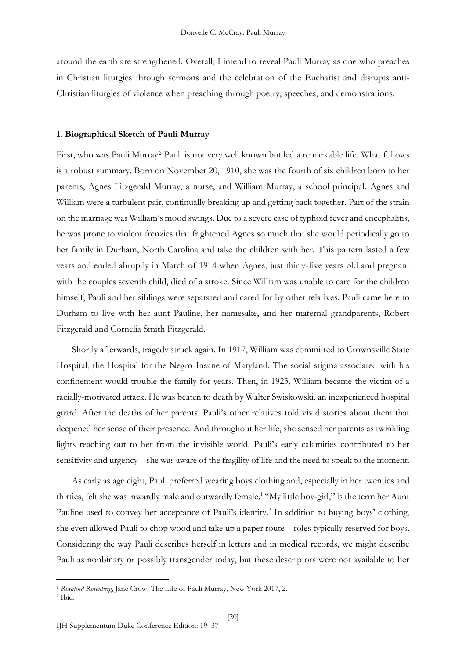around the earth are strengthened. Overall, I intend to reveal Pauli Murray as one who preaches in Christian liturgies through sermons and the celebration of the Eucharist and disrupts anti-Christian liturgies of violence when preaching through poetry, speeches, and demonstrations.

### **1. Biographical Sketch of Pauli Murray**

First, who was Pauli Murray? Pauli is not very well known but led a remarkable life. What follows is a robust summary. Born on November 20, 1910, she was the fourth of six children born to her parents, Agnes Fitzgerald Murray, a nurse, and William Murray, a school principal. Agnes and William were a turbulent pair, continually breaking up and getting back together. Part of the strain on the marriage was William's mood swings. Due to a severe case of typhoid fever and encephalitis, he was prone to violent frenzies that frightened Agnes so much that she would periodically go to her family in Durham, North Carolina and take the children with her. This pattern lasted a few years and ended abruptly in March of 1914 when Agnes, just thirty-five years old and pregnant with the couples seventh child, died of a stroke. Since William was unable to care for the children himself, Pauli and her siblings were separated and cared for by other relatives. Pauli came here to Durham to live with her aunt Pauline, her namesake, and her maternal grandparents, Robert Fitzgerald and Cornelia Smith Fitzgerald.

Shortly afterwards, tragedy struck again. In 1917, William was committed to Crownsville State Hospital, the Hospital for the Negro Insane of Maryland. The social stigma associated with his confinement would trouble the family for years. Then, in 1923, William became the victim of a racially-motivated attack. He was beaten to death by Walter Swiskowski, an inexperienced hospital guard. After the deaths of her parents, Pauli's other relatives told vivid stories about them that deepened her sense of their presence. And throughout her life, she sensed her parents as twinkling lights reaching out to her from the invisible world. Pauli's early calamities contributed to her sensitivity and urgency – she was aware of the fragility of life and the need to speak to the moment.

As early as age eight, Pauli preferred wearing boys clothing and, especially in her twenties and thirties, felt she was inwardly male and outwardly female.<sup>1</sup> "My little boy-girl," is the term her Aunt Pauline used to convey her acceptance of Pauli's identity.<sup>2</sup> In addition to buying boys' clothing, she even allowed Pauli to chop wood and take up a paper route – roles typically reserved for boys. Considering the way Pauli describes herself in letters and in medical records, we might describe Pauli as nonbinary or possibly transgender today, but these descriptors were not available to her

<sup>1</sup> *Rosalind Rosenberg*, Jane Crow. The Life of Pauli Murray, New York 2017, 2.

<sup>2</sup> Ibid.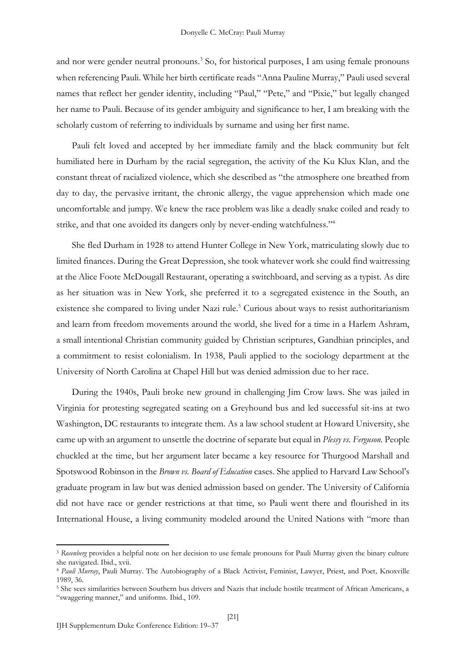and nor were gender neutral pronouns.<sup>3</sup> So, for historical purposes, I am using female pronouns when referencing Pauli. While her birth certificate reads "Anna Pauline Murray," Pauli used several names that reflect her gender identity, including "Paul," "Pete," and "Pixie," but legally changed her name to Pauli. Because of its gender ambiguity and significance to her, I am breaking with the scholarly custom of referring to individuals by surname and using her first name.

Pauli felt loved and accepted by her immediate family and the black community but felt humiliated here in Durham by the racial segregation, the activity of the Ku Klux Klan, and the constant threat of racialized violence, which she described as "the atmosphere one breathed from day to day, the pervasive irritant, the chronic allergy, the vague apprehension which made one uncomfortable and jumpy. We knew the race problem was like a deadly snake coiled and ready to strike, and that one avoided its dangers only by never-ending watchfulness."<sup>4</sup>

She fled Durham in 1928 to attend Hunter College in New York, matriculating slowly due to limited finances. During the Great Depression, she took whatever work she could find waitressing at the Alice Foote McDougall Restaurant, operating a switchboard, and serving as a typist. As dire as her situation was in New York, she preferred it to a segregated existence in the South, an existence she compared to living under Nazi rule.<sup>5</sup> Curious about ways to resist authoritarianism and learn from freedom movements around the world, she lived for a time in a Harlem Ashram, a small intentional Christian community guided by Christian scriptures, Gandhian principles, and a commitment to resist colonialism. In 1938, Pauli applied to the sociology department at the University of North Carolina at Chapel Hill but was denied admission due to her race.

During the 1940s, Pauli broke new ground in challenging Jim Crow laws. She was jailed in Virginia for protesting segregated seating on a Greyhound bus and led successful sit-ins at two Washington, DC restaurants to integrate them. As a law school student at Howard University, she came up with an argument to unsettle the doctrine of separate but equal in *Plessy vs. Ferguson.* People chuckled at the time, but her argument later became a key resource for Thurgood Marshall and Spotswood Robinson in the *Brown vs. Board of Education* cases. She applied to Harvard Law School's graduate program in law but was denied admission based on gender. The University of California did not have race or gender restrictions at that time, so Pauli went there and flourished in its International House, a living community modeled around the United Nations with "more than

<sup>3</sup> *Rosenberg* provides a helpful note on her decision to use female pronouns for Pauli Murray given the binary culture she navigated. Ibid., xvii.

<sup>4</sup> *Pauli Murray*, Pauli Murray. The Autobiography of a Black Activist, Feminist, Lawyer, Priest, and Poet*,* Knoxville 1989, 36.

<sup>5</sup> She sees similarities between Southern bus drivers and Nazis that include hostile treatment of African Americans, a "swaggering manner," and uniforms. Ibid., 109.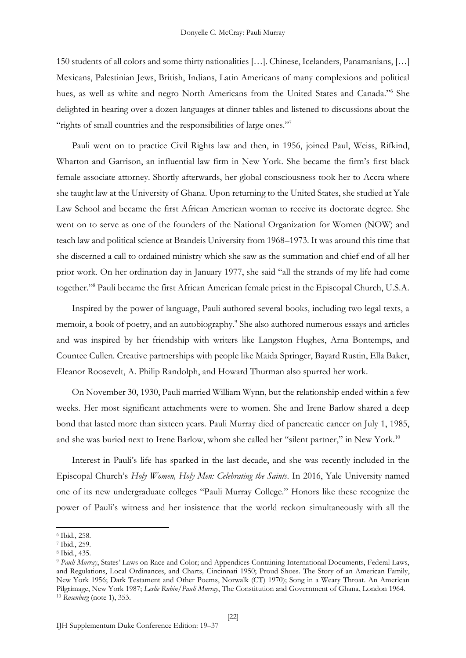150 students of all colors and some thirty nationalities […]. Chinese, Icelanders, Panamanians, […] Mexicans, Palestinian Jews, British, Indians, Latin Americans of many complexions and political hues, as well as white and negro North Americans from the United States and Canada."<sup>6</sup> She delighted in hearing over a dozen languages at dinner tables and listened to discussions about the "rights of small countries and the responsibilities of large ones."<sup>7</sup>

Pauli went on to practice Civil Rights law and then, in 1956, joined Paul, Weiss, Rifkind, Wharton and Garrison, an influential law firm in New York. She became the firm's first black female associate attorney. Shortly afterwards, her global consciousness took her to Accra where she taught law at the University of Ghana. Upon returning to the United States, she studied at Yale Law School and became the first African American woman to receive its doctorate degree. She went on to serve as one of the founders of the National Organization for Women (NOW) and teach law and political science at Brandeis University from 1968–1973. It was around this time that she discerned a call to ordained ministry which she saw as the summation and chief end of all her prior work. On her ordination day in January 1977, she said "all the strands of my life had come together."<sup>8</sup> Pauli became the first African American female priest in the Episcopal Church, U.S.A.

Inspired by the power of language, Pauli authored several books, including two legal texts, a memoir, a book of poetry, and an autobiography.<sup>9</sup> She also authored numerous essays and articles and was inspired by her friendship with writers like Langston Hughes, Arna Bontemps, and Countee Cullen. Creative partnerships with people like Maida Springer, Bayard Rustin, Ella Baker, Eleanor Roosevelt, A. Philip Randolph, and Howard Thurman also spurred her work.

On November 30, 1930, Pauli married William Wynn, but the relationship ended within a few weeks. Her most significant attachments were to women. She and Irene Barlow shared a deep bond that lasted more than sixteen years. Pauli Murray died of pancreatic cancer on July 1, 1985, and she was buried next to Irene Barlow, whom she called her "silent partner," in New York.<sup>10</sup>

Interest in Pauli's life has sparked in the last decade, and she was recently included in the Episcopal Church's *Holy Women, Holy Men: Celebrating the Saints*. In 2016, Yale University named one of its new undergraduate colleges "Pauli Murray College." Honors like these recognize the power of Pauli's witness and her insistence that the world reckon simultaneously with all the

<sup>6</sup> Ibid., 258.

<sup>7</sup> Ibid., 259.

<sup>8</sup> Ibid., 435.

<sup>9</sup> *Pauli Murray*, States' Laws on Race and Color; and Appendices Containing International Documents, Federal Laws, and Regulations, Local Ordinances, and Charts*,* Cincinnati 1950; Proud Shoes. The Story of an American Family, New York 1956; Dark Testament and Other Poems, Norwalk (CT) 1970); Song in a Weary Throat. An American Pilgrimage, New York 1987; *Leslie Rubin/Pauli Murray*, The Constitution and Government of Ghana, London 1964. <sup>10</sup> *Rosenberg* (note 1), 353.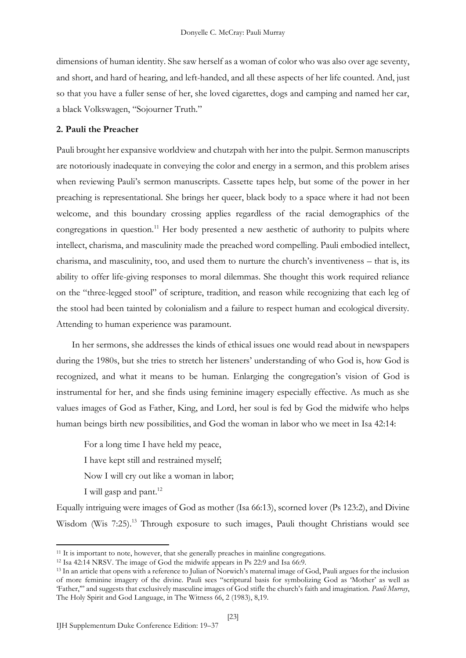dimensions of human identity. She saw herself as a woman of color who was also over age seventy, and short, and hard of hearing, and left-handed, and all these aspects of her life counted. And, just so that you have a fuller sense of her, she loved cigarettes, dogs and camping and named her car, a black Volkswagen, "Sojourner Truth."

### **2. Pauli the Preacher**

Pauli brought her expansive worldview and chutzpah with her into the pulpit. Sermon manuscripts are notoriously inadequate in conveying the color and energy in a sermon, and this problem arises when reviewing Pauli's sermon manuscripts. Cassette tapes help, but some of the power in her preaching is representational. She brings her queer, black body to a space where it had not been welcome, and this boundary crossing applies regardless of the racial demographics of the congregations in question.<sup>11</sup> Her body presented a new aesthetic of authority to pulpits where intellect, charisma, and masculinity made the preached word compelling. Pauli embodied intellect, charisma, and masculinity, too, and used them to nurture the church's inventiveness – that is, its ability to offer life-giving responses to moral dilemmas. She thought this work required reliance on the "three-legged stool" of scripture, tradition, and reason while recognizing that each leg of the stool had been tainted by colonialism and a failure to respect human and ecological diversity. Attending to human experience was paramount.

In her sermons, she addresses the kinds of ethical issues one would read about in newspapers during the 1980s, but she tries to stretch her listeners' understanding of who God is, how God is recognized, and what it means to be human. Enlarging the congregation's vision of God is instrumental for her, and she finds using feminine imagery especially effective. As much as she values images of God as Father, King, and Lord, her soul is fed by God the midwife who helps human beings birth new possibilities, and God the woman in labor who we meet in Isa 42:14:

For a long time I have held my peace, I have kept still and restrained myself; Now I will cry out like a woman in labor; I will gasp and pant. $12$ 

Equally intriguing were images of God as mother (Isa 66:13), scorned lover (Ps 123:2), and Divine Wisdom (Wis 7:25).<sup>13</sup> Through exposure to such images, Pauli thought Christians would see

<sup>&</sup>lt;sup>11</sup> It is important to note, however, that she generally preaches in mainline congregations.

<sup>12</sup> Isa 42:14 NRSV. The image of God the midwife appears in Ps 22:9 and Isa 66:9.

<sup>13</sup> In an article that opens with a reference to Julian of Norwich's maternal image of God, Pauli argues for the inclusion of more feminine imagery of the divine. Pauli sees "scriptural basis for symbolizing God as 'Mother' as well as 'Father,'" and suggests that exclusively masculine images of God stifle the church's faith and imagination. *Pauli Murray*, The Holy Spirit and God Language, in The Witness 66, 2 (1983), 8,19.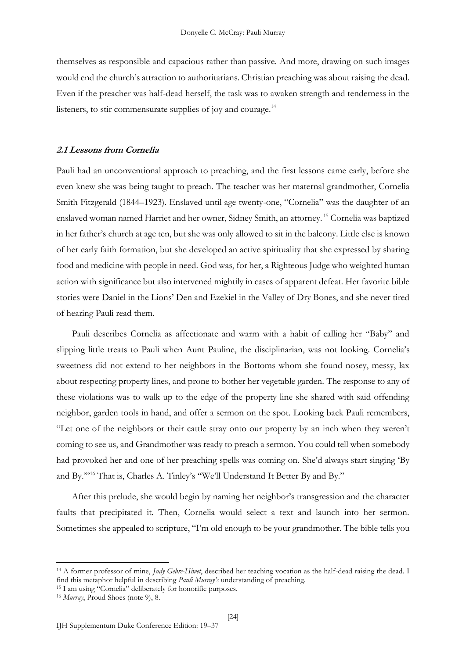themselves as responsible and capacious rather than passive. And more, drawing on such images would end the church's attraction to authoritarians. Christian preaching was about raising the dead. Even if the preacher was half-dead herself, the task was to awaken strength and tenderness in the listeners, to stir commensurate supplies of joy and courage.<sup>14</sup>

# **2.1 Lessons from Cornelia**

Pauli had an unconventional approach to preaching, and the first lessons came early, before she even knew she was being taught to preach. The teacher was her maternal grandmother, Cornelia Smith Fitzgerald (1844–1923). Enslaved until age twenty-one, "Cornelia" was the daughter of an enslaved woman named Harriet and her owner, Sidney Smith, an attorney. <sup>15</sup> Cornelia was baptized in her father's church at age ten, but she was only allowed to sit in the balcony. Little else is known of her early faith formation, but she developed an active spirituality that she expressed by sharing food and medicine with people in need. God was, for her, a Righteous Judge who weighted human action with significance but also intervened mightily in cases of apparent defeat. Her favorite bible stories were Daniel in the Lions' Den and Ezekiel in the Valley of Dry Bones, and she never tired of hearing Pauli read them.

Pauli describes Cornelia as affectionate and warm with a habit of calling her "Baby" and slipping little treats to Pauli when Aunt Pauline, the disciplinarian, was not looking. Cornelia's sweetness did not extend to her neighbors in the Bottoms whom she found nosey, messy, lax about respecting property lines, and prone to bother her vegetable garden. The response to any of these violations was to walk up to the edge of the property line she shared with said offending neighbor, garden tools in hand, and offer a sermon on the spot. Looking back Pauli remembers, "Let one of the neighbors or their cattle stray onto our property by an inch when they weren't coming to see us, and Grandmother was ready to preach a sermon. You could tell when somebody had provoked her and one of her preaching spells was coming on. She'd always start singing 'By and By.'"<sup>16</sup> That is, Charles A. Tinley's "We'll Understand It Better By and By."

After this prelude, she would begin by naming her neighbor's transgression and the character faults that precipitated it. Then, Cornelia would select a text and launch into her sermon. Sometimes she appealed to scripture, "I'm old enough to be your grandmother. The bible tells you

<sup>14</sup> A former professor of mine, *Judy Gebre-Hiwet*, described her teaching vocation as the half-dead raising the dead. I find this metaphor helpful in describing *Pauli Murray's* understanding of preaching.

<sup>15</sup> I am using "Cornelia" deliberately for honorific purposes.

<sup>16</sup> *Murray*, Proud Shoes (note 9), 8.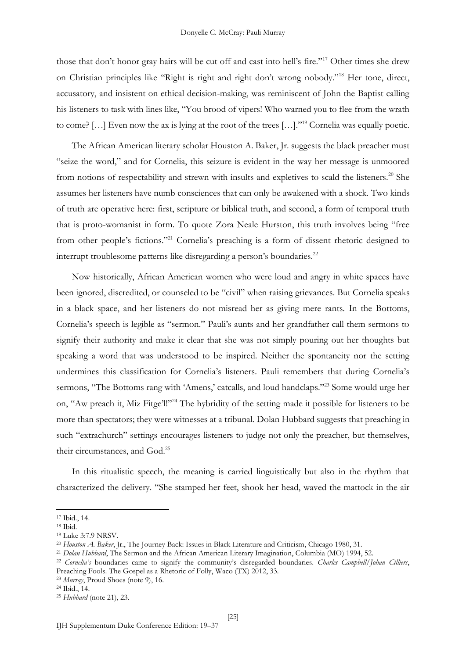those that don't honor gray hairs will be cut off and cast into hell's fire."<sup>17</sup> Other times she drew on Christian principles like "Right is right and right don't wrong nobody."<sup>18</sup> Her tone, direct, accusatory, and insistent on ethical decision-making, was reminiscent of John the Baptist calling his listeners to task with lines like, "You brood of vipers! Who warned you to flee from the wrath to come? [...] Even now the ax is lying at the root of the trees [...]."<sup>19</sup> Cornelia was equally poetic.

The African American literary scholar Houston A. Baker, Jr. suggests the black preacher must "seize the word," and for Cornelia, this seizure is evident in the way her message is unmoored from notions of respectability and strewn with insults and expletives to scald the listeners.<sup>20</sup> She assumes her listeners have numb consciences that can only be awakened with a shock. Two kinds of truth are operative here: first, scripture or biblical truth, and second, a form of temporal truth that is proto-womanist in form. To quote Zora Neale Hurston, this truth involves being "free from other people's fictions."<sup>21</sup> Cornelia's preaching is a form of dissent rhetoric designed to interrupt troublesome patterns like disregarding a person's boundaries.<sup>22</sup>

Now historically, African American women who were loud and angry in white spaces have been ignored, discredited, or counseled to be "civil" when raising grievances. But Cornelia speaks in a black space, and her listeners do not misread her as giving mere rants. In the Bottoms, Cornelia's speech is legible as "sermon." Pauli's aunts and her grandfather call them sermons to signify their authority and make it clear that she was not simply pouring out her thoughts but speaking a word that was understood to be inspired. Neither the spontaneity nor the setting undermines this classification for Cornelia's listeners. Pauli remembers that during Cornelia's sermons, "The Bottoms rang with 'Amens,' catcalls, and loud handclaps."<sup>23</sup> Some would urge her on, "Aw preach it, Miz Fitge'l!"<sup>24</sup> The hybridity of the setting made it possible for listeners to be more than spectators; they were witnesses at a tribunal. Dolan Hubbard suggests that preaching in such "extrachurch" settings encourages listeners to judge not only the preacher, but themselves, their circumstances, and God.<sup>25</sup>

In this ritualistic speech, the meaning is carried linguistically but also in the rhythm that characterized the delivery. "She stamped her feet, shook her head, waved the mattock in the air

<sup>17</sup> Ibid., 14.

<sup>18</sup> Ibid.

<sup>19</sup> Luke 3:7.9 NRSV.

<sup>20</sup> *Houston A. Baker*, Jr., The Journey Back: Issues in Black Literature and Criticism, Chicago 1980, 31.

<sup>21</sup> *Dolan Hubbard*, The Sermon and the African American Literary Imagination, Columbia (MO) 1994, 52.

<sup>22</sup> *Cornelia's* boundaries came to signify the community's disregarded boundaries. *Charles Campbell/Johan Cilliers*, Preaching Fools. The Gospel as a Rhetoric of Folly, Waco (TX) 2012, 33.

<sup>23</sup> *Murray*, Proud Shoes (note 9), 16.

<sup>24</sup> Ibid., 14.

<sup>25</sup> *Hubbard* (note 21), 23.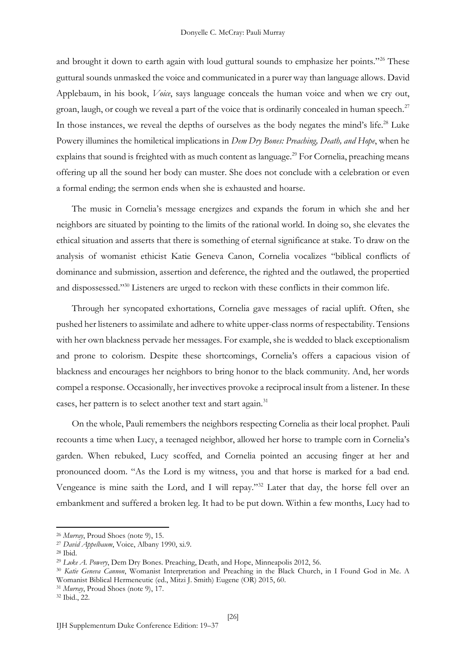and brought it down to earth again with loud guttural sounds to emphasize her points."<sup>26</sup> These guttural sounds unmasked the voice and communicated in a purer way than language allows. David Applebaum, in his book, *Voice*, says language conceals the human voice and when we cry out, groan, laugh, or cough we reveal a part of the voice that is ordinarily concealed in human speech.<sup>27</sup> In those instances, we reveal the depths of ourselves as the body negates the mind's life.<sup>28</sup> Luke Powery illumines the homiletical implications in *Dem Dry Bones: Preaching, Death, and Hope*, when he explains that sound is freighted with as much content as language.<sup>29</sup> For Cornelia, preaching means offering up all the sound her body can muster. She does not conclude with a celebration or even a formal ending; the sermon ends when she is exhausted and hoarse.

The music in Cornelia's message energizes and expands the forum in which she and her neighbors are situated by pointing to the limits of the rational world. In doing so, she elevates the ethical situation and asserts that there is something of eternal significance at stake. To draw on the analysis of womanist ethicist Katie Geneva Canon, Cornelia vocalizes "biblical conflicts of dominance and submission, assertion and deference, the righted and the outlawed, the propertied and dispossessed."<sup>30</sup> Listeners are urged to reckon with these conflicts in their common life.

Through her syncopated exhortations, Cornelia gave messages of racial uplift. Often, she pushed her listeners to assimilate and adhere to white upper-class norms of respectability. Tensions with her own blackness pervade her messages. For example, she is wedded to black exceptionalism and prone to colorism. Despite these shortcomings, Cornelia's offers a capacious vision of blackness and encourages her neighbors to bring honor to the black community. And, her words compel a response. Occasionally, her invectives provoke a reciprocal insult from a listener. In these cases, her pattern is to select another text and start again.<sup>31</sup>

On the whole, Pauli remembers the neighbors respecting Cornelia as their local prophet. Pauli recounts a time when Lucy, a teenaged neighbor, allowed her horse to trample corn in Cornelia's garden. When rebuked, Lucy scoffed, and Cornelia pointed an accusing finger at her and pronounced doom. "As the Lord is my witness, you and that horse is marked for a bad end. Vengeance is mine saith the Lord, and I will repay."<sup>32</sup> Later that day, the horse fell over an embankment and suffered a broken leg. It had to be put down. Within a few months, Lucy had to

<sup>32</sup> Ibid., 22.

<sup>26</sup> *Murray*, Proud Shoes (note 9), 15.

<sup>27</sup> *David Appelbaum*, Voice, Albany 1990, xi.9.

<sup>28</sup> Ibid.

<sup>29</sup> *Luke A. Powery*, Dem Dry Bones. Preaching, Death, and Hope, Minneapolis 2012, 56.

<sup>30</sup> *Katie Geneva Cannon*, Womanist Interpretation and Preaching in the Black Church, in I Found God in Me. A Womanist Biblical Hermeneutic (ed., Mitzi J. Smith) Eugene (OR) 2015, 60.

<sup>31</sup> *Murray*, Proud Shoes (note 9), 17.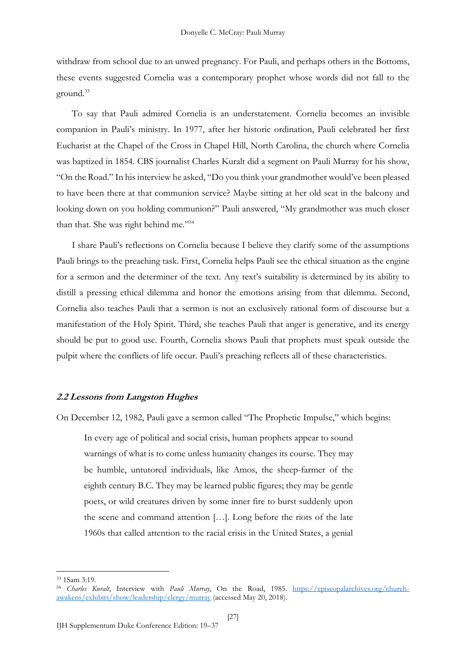withdraw from school due to an unwed pregnancy. For Pauli, and perhaps others in the Bottoms, these events suggested Cornelia was a contemporary prophet whose words did not fall to the ground.<sup>33</sup>

To say that Pauli admired Cornelia is an understatement. Cornelia becomes an invisible companion in Pauli's ministry. In 1977, after her historic ordination, Pauli celebrated her first Eucharist at the Chapel of the Cross in Chapel Hill, North Carolina, the church where Cornelia was baptized in 1854. CBS journalist Charles Kuralt did a segment on Pauli Murray for his show, "On the Road." In his interview he asked, "Do you think your grandmother would've been pleased to have been there at that communion service? Maybe sitting at her old seat in the balcony and looking down on you holding communion?" Pauli answered, "My grandmother was much closer than that. She was right behind me."34

I share Pauli's reflections on Cornelia because I believe they clarify some of the assumptions Pauli brings to the preaching task. First, Cornelia helps Pauli see the ethical situation as the engine for a sermon and the determiner of the text. Any text's suitability is determined by its ability to distill a pressing ethical dilemma and honor the emotions arising from that dilemma. Second, Cornelia also teaches Pauli that a sermon is not an exclusively rational form of discourse but a manifestation of the Holy Spirit. Third, she teaches Pauli that anger is generative, and its energy should be put to good use. Fourth, Cornelia shows Pauli that prophets must speak outside the pulpit where the conflicts of life occur. Pauli's preaching reflects all of these characteristics.

### **2.2 Lessons from Langston Hughes**

On December 12, 1982, Pauli gave a sermon called "The Prophetic Impulse," which begins:

In every age of political and social crisis, human prophets appear to sound warnings of what is to come unless humanity changes its course. They may be humble, untutored individuals, like Amos, the sheep-farmer of the eighth century B.C. They may be learned public figures; they may be gentle poets, or wild creatures driven by some inner fire to burst suddenly upon the scene and command attention […]. Long before the riots of the late 1960s that called attention to the racial crisis in the United States, a genial

<sup>33</sup> 1Sam 3:19.

<sup>34</sup> *Charles Kuralt*, Interview with *Pauli Murray*, On the Road, 1985. [https://episcopalarchives.org/church](https://episcopalarchives.org/church-awakens/exhibits/show/leadership/clergy/murray)[awakens/exhibits/show/leadership/clergy/murray](https://episcopalarchives.org/church-awakens/exhibits/show/leadership/clergy/murray) (accessed May 20, 2018).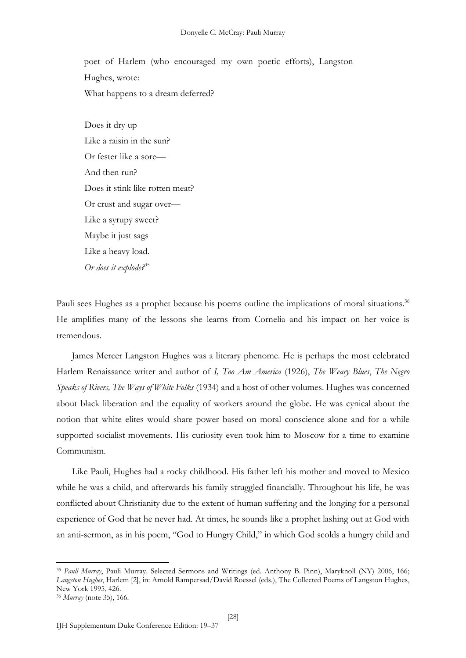poet of Harlem (who encouraged my own poetic efforts), Langston Hughes, wrote: What happens to a dream deferred?

Does it dry up Like a raisin in the sun? Or fester like a sore— And then run? Does it stink like rotten meat? Or crust and sugar over— Like a syrupy sweet? Maybe it just sags Like a heavy load. *Or does it explode?*<sup>35</sup>

Pauli sees Hughes as a prophet because his poems outline the implications of moral situations.<sup>36</sup> He amplifies many of the lessons she learns from Cornelia and his impact on her voice is tremendous.

James Mercer Langston Hughes was a literary phenome. He is perhaps the most celebrated Harlem Renaissance writer and author of *I, Too Am America* (1926), *The Weary Blues*, *The Negro Speaks of Rivers, The Ways of White Folks* (1934) and a host of other volumes. Hughes was concerned about black liberation and the equality of workers around the globe. He was cynical about the notion that white elites would share power based on moral conscience alone and for a while supported socialist movements. His curiosity even took him to Moscow for a time to examine Communism.

Like Pauli, Hughes had a rocky childhood. His father left his mother and moved to Mexico while he was a child, and afterwards his family struggled financially. Throughout his life, he was conflicted about Christianity due to the extent of human suffering and the longing for a personal experience of God that he never had. At times, he sounds like a prophet lashing out at God with an anti-sermon, as in his poem, "God to Hungry Child," in which God scolds a hungry child and

<sup>35</sup> *Pauli Murray*, Pauli Murray. Selected Sermons and Writings (ed. Anthony B. Pinn), Maryknoll (NY) 2006, 166; *Langston Hughes*, Harlem [2], in: Arnold Rampersad/David Roessel (eds.), The Collected Poems of Langston Hughes, New York 1995, 426.

<sup>36</sup> *Murray* (note 35), 166.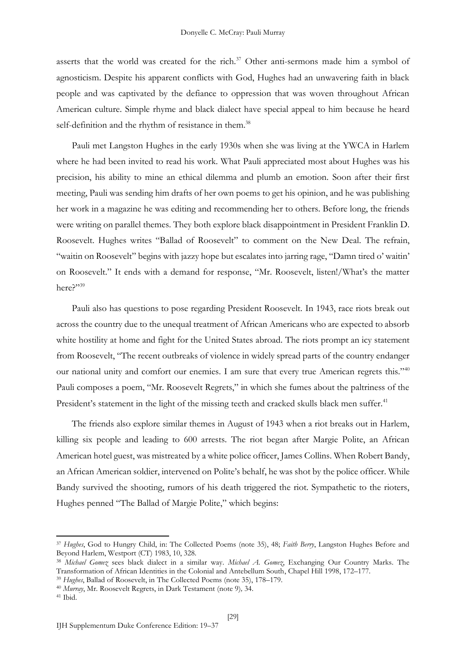asserts that the world was created for the rich. $37$  Other anti-sermons made him a symbol of agnosticism. Despite his apparent conflicts with God, Hughes had an unwavering faith in black people and was captivated by the defiance to oppression that was woven throughout African American culture. Simple rhyme and black dialect have special appeal to him because he heard self-definition and the rhythm of resistance in them.<sup>38</sup>

Pauli met Langston Hughes in the early 1930s when she was living at the YWCA in Harlem where he had been invited to read his work. What Pauli appreciated most about Hughes was his precision, his ability to mine an ethical dilemma and plumb an emotion. Soon after their first meeting, Pauli was sending him drafts of her own poems to get his opinion, and he was publishing her work in a magazine he was editing and recommending her to others. Before long, the friends were writing on parallel themes. They both explore black disappointment in President Franklin D. Roosevelt. Hughes writes "Ballad of Roosevelt" to comment on the New Deal. The refrain, "waitin on Roosevelt" begins with jazzy hope but escalates into jarring rage, "Damn tired o' waitin' on Roosevelt." It ends with a demand for response, "Mr. Roosevelt, listen!/What's the matter here?"39

Pauli also has questions to pose regarding President Roosevelt. In 1943, race riots break out across the country due to the unequal treatment of African Americans who are expected to absorb white hostility at home and fight for the United States abroad. The riots prompt an icy statement from Roosevelt, "The recent outbreaks of violence in widely spread parts of the country endanger our national unity and comfort our enemies. I am sure that every true American regrets this."<sup>40</sup> Pauli composes a poem, "Mr. Roosevelt Regrets," in which she fumes about the paltriness of the President's statement in the light of the missing teeth and cracked skulls black men suffer.<sup>41</sup>

The friends also explore similar themes in August of 1943 when a riot breaks out in Harlem, killing six people and leading to 600 arrests. The riot began after Margie Polite, an African American hotel guest, was mistreated by a white police officer, James Collins. When Robert Bandy, an African American soldier, intervened on Polite's behalf, he was shot by the police officer. While Bandy survived the shooting, rumors of his death triggered the riot. Sympathetic to the rioters, Hughes penned "The Ballad of Margie Polite," which begins:

<sup>37</sup> *Hughes*, God to Hungry Child, in: The Collected Poems (note 35), 48; *Faith Berry*, Langston Hughes Before and Beyond Harlem, Westport (CT) 1983, 10, 328.

<sup>38</sup> *Michael Gomez* sees black dialect in a similar way. *Michael A. Gomez*, Exchanging Our Country Marks. The Transformation of African Identities in the Colonial and Antebellum South, Chapel Hill 1998, 172–177.

<sup>39</sup> *Hughes*, Ballad of Roosevelt, in The Collected Poems (note 35), 178–179.

<sup>40</sup> *Murray*, Mr. Roosevelt Regrets, in Dark Testament (note 9)*,* 34.

<sup>41</sup> Ibid.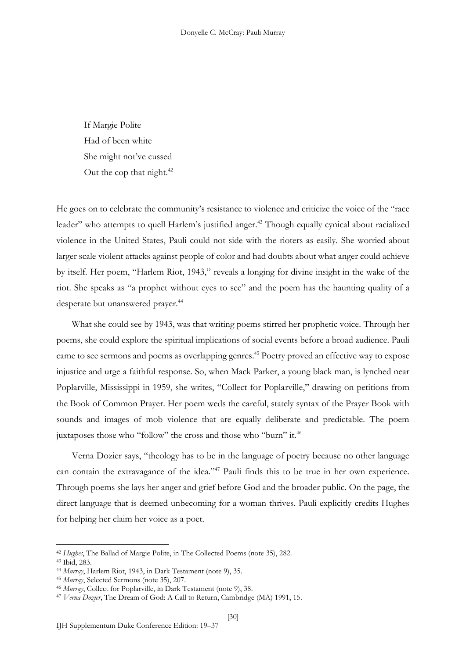If Margie Polite Had of been white She might not've cussed Out the cop that night. $42$ 

He goes on to celebrate the community's resistance to violence and criticize the voice of the "race leader" who attempts to quell Harlem's justified anger.<sup>43</sup> Though equally cynical about racialized violence in the United States, Pauli could not side with the rioters as easily. She worried about larger scale violent attacks against people of color and had doubts about what anger could achieve by itself. Her poem, "Harlem Riot, 1943," reveals a longing for divine insight in the wake of the riot. She speaks as "a prophet without eyes to see" and the poem has the haunting quality of a desperate but unanswered prayer.<sup>44</sup>

What she could see by 1943, was that writing poems stirred her prophetic voice. Through her poems, she could explore the spiritual implications of social events before a broad audience. Pauli came to see sermons and poems as overlapping genres.<sup>45</sup> Poetry proved an effective way to expose injustice and urge a faithful response. So, when Mack Parker, a young black man, is lynched near Poplarville, Mississippi in 1959, she writes, "Collect for Poplarville," drawing on petitions from the Book of Common Prayer. Her poem weds the careful, stately syntax of the Prayer Book with sounds and images of mob violence that are equally deliberate and predictable. The poem juxtaposes those who "follow" the cross and those who "burn" it.<sup>46</sup>

Verna Dozier says, "theology has to be in the language of poetry because no other language can contain the extravagance of the idea."<sup>47</sup> Pauli finds this to be true in her own experience. Through poems she lays her anger and grief before God and the broader public. On the page, the direct language that is deemed unbecoming for a woman thrives. Pauli explicitly credits Hughes for helping her claim her voice as a poet.

<sup>42</sup> *Hughes*, The Ballad of Margie Polite, in The Collected Poems (note 35), 282.

<sup>43</sup> Ibid, 283.

<sup>44</sup> *Murray*, Harlem Riot, 1943, in Dark Testament (note 9), 35.

<sup>45</sup> *Murray*, Selected Sermons (note 35), 207.

<sup>46</sup> *Murray*, Collect for Poplarville, in Dark Testament (note 9), 38.

<sup>47</sup> *Verna Dozier*, The Dream of God: A Call to Return, Cambridge (MA) 1991, 15.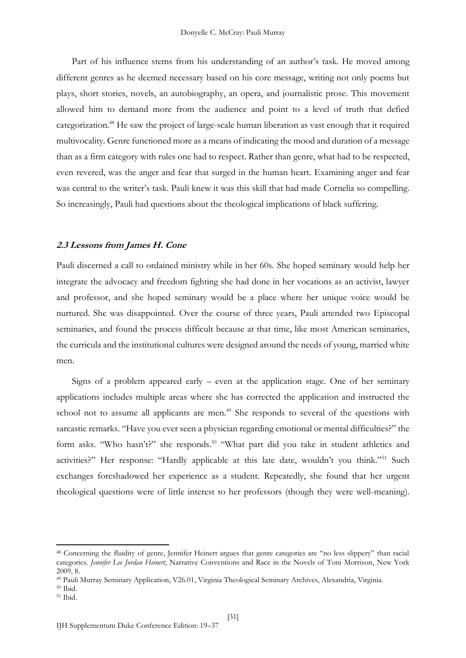Part of his influence stems from his understanding of an author's task. He moved among different genres as he deemed necessary based on his core message, writing not only poems but plays, short stories, novels, an autobiography, an opera, and journalistic prose. This movement allowed him to demand more from the audience and point to a level of truth that defied categorization.<sup>48</sup> He saw the project of large-scale human liberation as vast enough that it required multivocality. Genre functioned more as a means of indicating the mood and duration of a message than as a firm category with rules one had to respect. Rather than genre, what had to be respected, even revered, was the anger and fear that surged in the human heart. Examining anger and fear was central to the writer's task. Pauli knew it was this skill that had made Cornelia so compelling. So increasingly, Pauli had questions about the theological implications of black suffering.

#### **2.3 Lessons from James H. Cone**

Pauli discerned a call to ordained ministry while in her 60s. She hoped seminary would help her integrate the advocacy and freedom fighting she had done in her vocations as an activist, lawyer and professor, and she hoped seminary would be a place where her unique voice would be nurtured. She was disappointed. Over the course of three years, Pauli attended two Episcopal seminaries, and found the process difficult because at that time, like most American seminaries, the curricula and the institutional cultures were designed around the needs of young, married white men.

Signs of a problem appeared early – even at the application stage. One of her seminary applications includes multiple areas where she has corrected the application and instructed the school not to assume all applicants are men.<sup>49</sup> She responds to several of the questions with sarcastic remarks. "Have you ever seen a physician regarding emotional or mental difficulties?" the form asks. "Who hasn't?" she responds.<sup>50</sup> "What part did you take in student athletics and activities?" Her response: "Hardly applicable at this late date, wouldn't you think."<sup>51</sup> Such exchanges foreshadowed her experience as a student. Repeatedly, she found that her urgent theological questions were of little interest to her professors (though they were well-meaning).

<sup>48</sup> Concerning the fluidity of genre, Jennifer Heinert argues that genre categories are "no less slippery" than racial categories. *Jennifer Lee Jordan Heinert*, Narrative Conventions and Race in the Novels of Toni Morrison, New York 2009, 8.

<sup>49</sup> Pauli Murray Seminary Application, V26.01, Virginia Theological Seminary Archives, Alexandria, Virginia.

<sup>50</sup> Ibid.

<sup>51</sup> Ibid.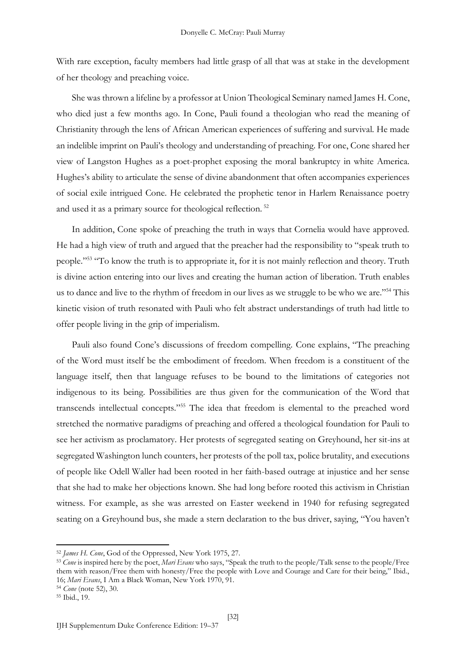With rare exception, faculty members had little grasp of all that was at stake in the development of her theology and preaching voice.

She was thrown a lifeline by a professor at Union Theological Seminary named James H. Cone, who died just a few months ago. In Cone, Pauli found a theologian who read the meaning of Christianity through the lens of African American experiences of suffering and survival. He made an indelible imprint on Pauli's theology and understanding of preaching. For one, Cone shared her view of Langston Hughes as a poet-prophet exposing the moral bankruptcy in white America. Hughes's ability to articulate the sense of divine abandonment that often accompanies experiences of social exile intrigued Cone. He celebrated the prophetic tenor in Harlem Renaissance poetry and used it as a primary source for theological reflection. <sup>52</sup>

In addition, Cone spoke of preaching the truth in ways that Cornelia would have approved. He had a high view of truth and argued that the preacher had the responsibility to "speak truth to people."<sup>53</sup> "To know the truth is to appropriate it, for it is not mainly reflection and theory. Truth is divine action entering into our lives and creating the human action of liberation. Truth enables us to dance and live to the rhythm of freedom in our lives as we struggle to be who we are."<sup>54</sup> This kinetic vision of truth resonated with Pauli who felt abstract understandings of truth had little to offer people living in the grip of imperialism.

Pauli also found Cone's discussions of freedom compelling. Cone explains, "The preaching of the Word must itself be the embodiment of freedom. When freedom is a constituent of the language itself, then that language refuses to be bound to the limitations of categories not indigenous to its being. Possibilities are thus given for the communication of the Word that transcends intellectual concepts."<sup>55</sup> The idea that freedom is elemental to the preached word stretched the normative paradigms of preaching and offered a theological foundation for Pauli to see her activism as proclamatory. Her protests of segregated seating on Greyhound, her sit-ins at segregated Washington lunch counters, her protests of the poll tax, police brutality, and executions of people like Odell Waller had been rooted in her faith-based outrage at injustice and her sense that she had to make her objections known. She had long before rooted this activism in Christian witness. For example, as she was arrested on Easter weekend in 1940 for refusing segregated seating on a Greyhound bus, she made a stern declaration to the bus driver, saying, "You haven't

<sup>52</sup> *James H. Cone*, God of the Oppressed, New York 1975, 27.

<sup>53</sup> *Cone* is inspired here by the poet, *Mari Evans* who says, "Speak the truth to the people/Talk sense to the people/Free them with reason/Free them with honesty/Free the people with Love and Courage and Care for their being," Ibid., 16; *Mari Evans*, I Am a Black Woman, New York 1970, 91. <sup>54</sup> *Cone* (note 52), 30.

<sup>55</sup> Ibid., 19.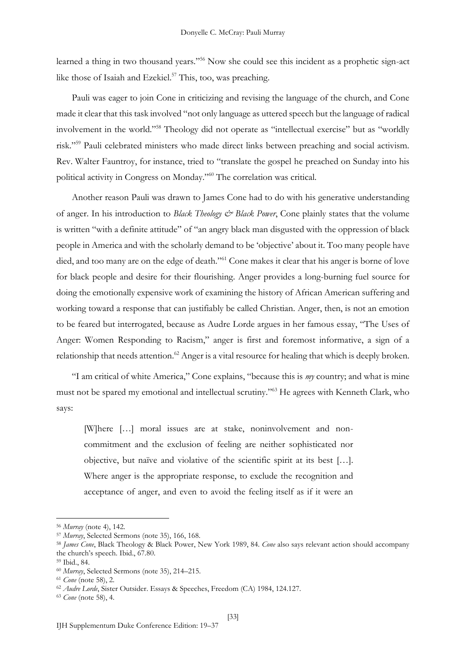learned a thing in two thousand years."<sup>56</sup> Now she could see this incident as a prophetic sign-act like those of Isaiah and Ezekiel.<sup>57</sup> This, too, was preaching.

Pauli was eager to join Cone in criticizing and revising the language of the church, and Cone made it clear that this task involved "not only language as uttered speech but the language of radical involvement in the world."<sup>58</sup> Theology did not operate as "intellectual exercise" but as "worldly risk."<sup>59</sup> Pauli celebrated ministers who made direct links between preaching and social activism. Rev. Walter Fauntroy, for instance, tried to "translate the gospel he preached on Sunday into his political activity in Congress on Monday."<sup>60</sup> The correlation was critical.

Another reason Pauli was drawn to James Cone had to do with his generative understanding of anger. In his introduction to *Black Theology & Black Power*, Cone plainly states that the volume is written "with a definite attitude" of "an angry black man disgusted with the oppression of black people in America and with the scholarly demand to be 'objective' about it. Too many people have died, and too many are on the edge of death."<sup>61</sup> Cone makes it clear that his anger is borne of love for black people and desire for their flourishing. Anger provides a long-burning fuel source for doing the emotionally expensive work of examining the history of African American suffering and working toward a response that can justifiably be called Christian. Anger, then, is not an emotion to be feared but interrogated, because as Audre Lorde argues in her famous essay, "The Uses of Anger: Women Responding to Racism," anger is first and foremost informative, a sign of a relationship that needs attention.<sup>62</sup> Anger is a vital resource for healing that which is deeply broken.

"I am critical of white America," Cone explains, "because this is *my* country; and what is mine must not be spared my emotional and intellectual scrutiny."<sup>63</sup> He agrees with Kenneth Clark, who says:

[W]here […] moral issues are at stake, noninvolvement and noncommitment and the exclusion of feeling are neither sophisticated nor objective, but naïve and violative of the scientific spirit at its best […]. Where anger is the appropriate response, to exclude the recognition and acceptance of anger, and even to avoid the feeling itself as if it were an

<sup>56</sup> *Murray* (note 4), 142.

<sup>57</sup> *Murray*, Selected Sermons (note 35), 166, 168.

<sup>58</sup> *James Cone*, Black Theology & Black Power, New York 1989, 84. *Cone* also says relevant action should accompany the church's speech. Ibid., 67.80.

<sup>59</sup> Ibid., 84.

<sup>60</sup> *Murray*, Selected Sermons (note 35), 214–215.

<sup>61</sup> *Cone* (note 58), 2.

<sup>62</sup> *Audre Lorde*, Sister Outsider. Essays & Speeches, Freedom (CA) 1984, 124.127.

<sup>63</sup> *Cone* (note 58), 4.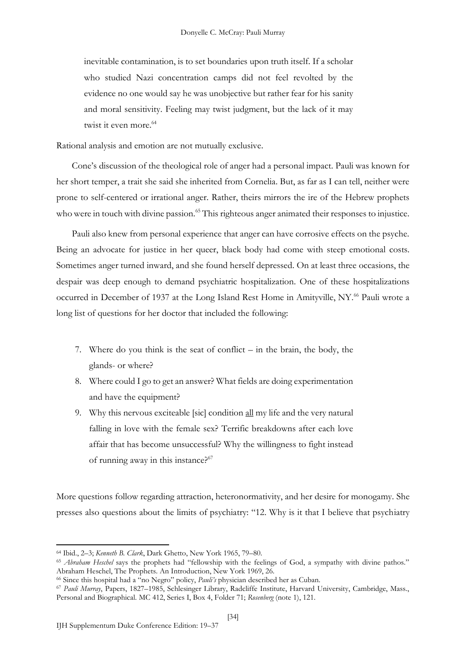inevitable contamination, is to set boundaries upon truth itself. If a scholar who studied Nazi concentration camps did not feel revolted by the evidence no one would say he was unobjective but rather fear for his sanity and moral sensitivity. Feeling may twist judgment, but the lack of it may twist it even more.<sup>64</sup>

Rational analysis and emotion are not mutually exclusive.

Cone's discussion of the theological role of anger had a personal impact. Pauli was known for her short temper, a trait she said she inherited from Cornelia. But, as far as I can tell, neither were prone to self-centered or irrational anger. Rather, theirs mirrors the ire of the Hebrew prophets who were in touch with divine passion.<sup>65</sup> This righteous anger animated their responses to injustice.

Pauli also knew from personal experience that anger can have corrosive effects on the psyche. Being an advocate for justice in her queer, black body had come with steep emotional costs. Sometimes anger turned inward, and she found herself depressed. On at least three occasions, the despair was deep enough to demand psychiatric hospitalization. One of these hospitalizations occurred in December of 1937 at the Long Island Rest Home in Amityville, NY.<sup>66</sup> Pauli wrote a long list of questions for her doctor that included the following:

- 7. Where do you think is the seat of conflict in the brain, the body, the glands- or where?
- 8. Where could I go to get an answer? What fields are doing experimentation and have the equipment?
- 9. Why this nervous exciteable [sic] condition all my life and the very natural falling in love with the female sex? Terrific breakdowns after each love affair that has become unsuccessful? Why the willingness to fight instead of running away in this instance?<sup>67</sup>

More questions follow regarding attraction, heteronormativity, and her desire for monogamy. She presses also questions about the limits of psychiatry: "12. Why is it that I believe that psychiatry

<sup>64</sup> Ibid., 2–3; *Kenneth B. Clark*, Dark Ghetto, New York 1965, 79–80.

<sup>65</sup> *Abraham Heschel* says the prophets had "fellowship with the feelings of God, a sympathy with divine pathos." Abraham Heschel, The Prophets. An Introduction, New York 1969, 26.

<sup>66</sup> Since this hospital had a "no Negro" policy, *Pauli's* physician described her as Cuban.

<sup>67</sup> *Pauli Murray*, Papers, 1827–1985, Schlesinger Library, Radcliffe Institute, Harvard University, Cambridge, Mass., Personal and Biographical. MC 412, Series I, Box 4, Folder 71; *Rosenberg* (note 1), 121.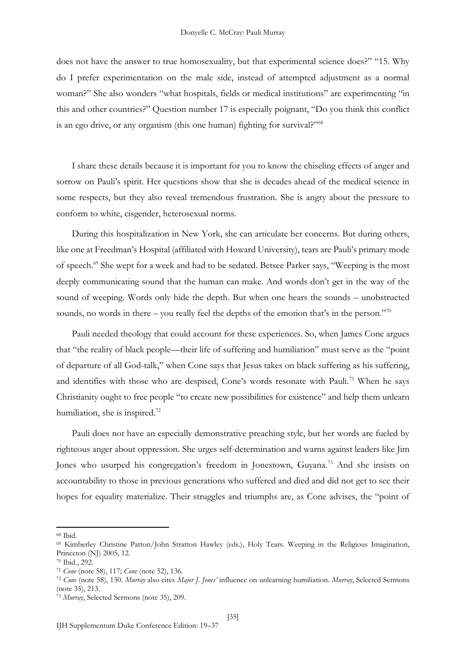does not have the answer to true homosexuality, but that experimental science does?" "15. Why do I prefer experimentation on the male side, instead of attempted adjustment as a normal woman?" She also wonders "what hospitals, fields or medical institutions" are experimenting "in this and other countries?" Question number 17 is especially poignant, "Do you think this conflict is an ego drive, or any organism (this one human) fighting for survival?"<sup>68</sup>

I share these details because it is important for you to know the chiseling effects of anger and sorrow on Pauli's spirit. Her questions show that she is decades ahead of the medical science in some respects, but they also reveal tremendous frustration. She is angry about the pressure to conform to white, cisgender, heterosexual norms.

During this hospitalization in New York, she can articulate her concerns. But during others, like one at Freedman's Hospital (affiliated with Howard University), tears are Pauli's primary mode of speech.<sup>69</sup> She wept for a week and had to be sedated. Betsee Parker says, "Weeping is the most deeply communicating sound that the human can make. And words don't get in the way of the sound of weeping. Words only hide the depth. But when one hears the sounds – unobstructed sounds, no words in there – you really feel the depths of the emotion that's in the person."<sup>70</sup>

Pauli needed theology that could account for these experiences. So, when James Cone argues that "the reality of black people—their life of suffering and humiliation" must serve as the "point of departure of all God-talk," when Cone says that Jesus takes on black suffering as his suffering, and identifies with those who are despised, Cone's words resonate with Pauli.<sup>71</sup> When he says Christianity ought to free people "to create new possibilities for existence" and help them unlearn humiliation, she is inspired.<sup>72</sup>

Pauli does not have an especially demonstrative preaching style, but her words are fueled by righteous anger about oppression. She urges self-determination and warns against leaders like Jim Jones who usurped his congregation's freedom in Jonestown, Guyana.<sup>73</sup> And she insists on accountability to those in previous generations who suffered and died and did not get to see their hopes for equality materialize. Their struggles and triumphs are, as Cone advises, the "point of

<sup>68</sup> Ibid.

<sup>69</sup> Kimberley Christine Patton/John Stratton Hawley (eds.), Holy Tears. Weeping in the Religious Imagination, Princeton (NJ) 2005, 12.

<sup>70</sup> Ibid., 292.

<sup>71</sup> *Cone* (note 58), 117; *Cone* (note 52), 136.

<sup>72</sup> *Cone* (note 58), 130. *Murray* also cites *Major J. Jones'* influence on unlearning humiliation. *Murray*, Selected Sermons (note 35), 213.

<sup>73</sup> *Murray*, Selected Sermons (note 35), 209.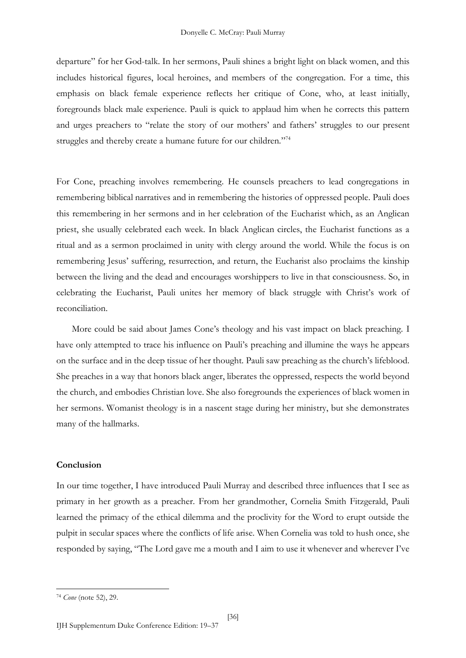departure" for her God-talk. In her sermons, Pauli shines a bright light on black women, and this includes historical figures, local heroines, and members of the congregation. For a time, this emphasis on black female experience reflects her critique of Cone, who, at least initially, foregrounds black male experience. Pauli is quick to applaud him when he corrects this pattern and urges preachers to "relate the story of our mothers' and fathers' struggles to our present struggles and thereby create a humane future for our children."<sup>74</sup>

For Cone, preaching involves remembering. He counsels preachers to lead congregations in remembering biblical narratives and in remembering the histories of oppressed people. Pauli does this remembering in her sermons and in her celebration of the Eucharist which, as an Anglican priest, she usually celebrated each week. In black Anglican circles, the Eucharist functions as a ritual and as a sermon proclaimed in unity with clergy around the world. While the focus is on remembering Jesus' suffering, resurrection, and return, the Eucharist also proclaims the kinship between the living and the dead and encourages worshippers to live in that consciousness. So, in celebrating the Eucharist, Pauli unites her memory of black struggle with Christ's work of reconciliation.

More could be said about James Cone's theology and his vast impact on black preaching. I have only attempted to trace his influence on Pauli's preaching and illumine the ways he appears on the surface and in the deep tissue of her thought. Pauli saw preaching as the church's lifeblood. She preaches in a way that honors black anger, liberates the oppressed, respects the world beyond the church, and embodies Christian love. She also foregrounds the experiences of black women in her sermons. Womanist theology is in a nascent stage during her ministry, but she demonstrates many of the hallmarks.

### **Conclusion**

In our time together, I have introduced Pauli Murray and described three influences that I see as primary in her growth as a preacher. From her grandmother, Cornelia Smith Fitzgerald, Pauli learned the primacy of the ethical dilemma and the proclivity for the Word to erupt outside the pulpit in secular spaces where the conflicts of life arise. When Cornelia was told to hush once, she responded by saying, "The Lord gave me a mouth and I aim to use it whenever and wherever I've

<sup>74</sup> *Cone* (note 52), 29.

IJH Supplementum Duke Conference Edition: 19–37